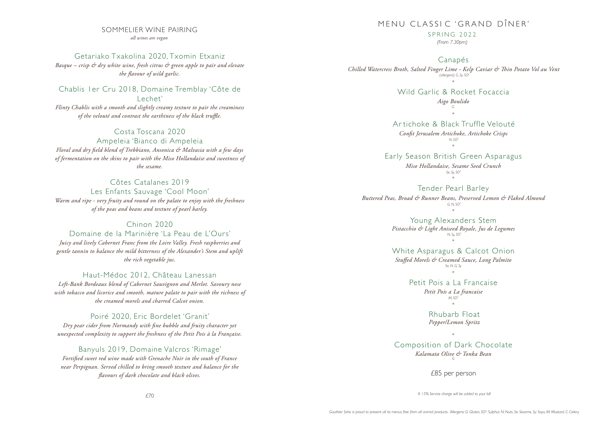#### SOMMELIER WINE PAIRING *all wines are vegan*

Getariako Txakolina 2020, Txomin Etxaniz *Basque – crisp & dry white wine, fresh citrus & green apple to pair and elevate the flavour of wild garlic.* 

Chablis 1er Cru 2018, Domaine Tremblay 'Côte de Lechet'

*Flinty Chablis with a smooth and slightly creamy texture to pair the creaminess*  of the velouté and contrast the earthiness of the black truffle.

Costa Toscana 2020 Ampeleia 'Bianco di Ampeleia *Floral and dry field blend of Trebbiano, Ansonica & Malvasia with a few days of fermentation on the skins to pair with the Miso Hollandaise and sweetness of the sesame.*

Côtes Catalanes 2019 Les Enfants Sauvage 'Cool Moon' *Warm and ripe - very fruity and round on the palate to enjoy with the freshness of the peas and beans and texture of pearl barley.*

#### Chinon 2020

Domaine de la Marinière 'La Peau de L'Ours' *Juicy and lively Cabernet Franc from the Loire Valley. Fresh raspberries and* 

*gentle tannin to balance the mild bitterness of the Alexander's Stem and uplift the rich vegetable jus.*

Haut-Médoc 2012, Château Lanessan

*Left-Bank Bordeaux blend of Cabernet Sauvignon and Merlot. Savoury nose with tobacco and licorice and smooth, mature palate to pair with the richness of the creamed morels and charred Calcot onion.* 

Poiré 2020, Eric Bordelet 'Granit' *Dry pear cider from Normandy with fine bubble and fruity character yet unexpected complexity to support the freshness of the Petit Pois à la Française.* 

Banyuls 2019, Domaine Valcros 'Rimage' Fortified sweet red wine made with Grenache Noir in the south of France *near Perpignan. Served chilled to bring smooth texture and balance for the avours of dark chocolate and black olives.*

## MENU CLASSIC 'GRAND DÎNFR'

 $SPRING 2022$ 

*(From 7.30pm)*

Canapés

*Chilled Watercress Broth, Salted Finger Lime - Kelp Caviar & in Potato Vol au Vent (allergens) G, Sy, SO<sup>2</sup>*

> \* Wild Garlic & Rocket Focaccia

*Aigo Boulido G*

#### \* Ar tichoke & Black Truffle Velouté

*Cont Jerusalem Artichoke, Artichoke Crisps N, SO<sup>2</sup>* \*

Early Season British Green Asparagus

*Miso Hollandaise, Sesame Seed Crunch Se, Sy, SO<sup>2</sup>* \*

Tender Pearl Barley

*Buttered Peas, Broad & Runner Beans, Preserved Lemon & Flaked Almond G, N, SO<sup>2</sup>*

> \* Young Alexanders Stem *Pistacchio & Light Aniseed Royale, Jus de Legumes N, Sy, SO<sup>2</sup>* \*

### White Asparagus & Calcot Onion

*Stued Morels & Creamed Sauce, Long Palmito Se, N, G, Sy* \*

Petit Pois a La Francaise

*Petit Pois a La francaise M, SO<sup>2</sup>* \*

> Rhubarb Float *Pepper/Lemon Spritz*

\* Composition of Dark Chocolate *Kalamata Olive & Tonka Bean G*

£85 per person

*A 15% Service charge will be added to your bill*